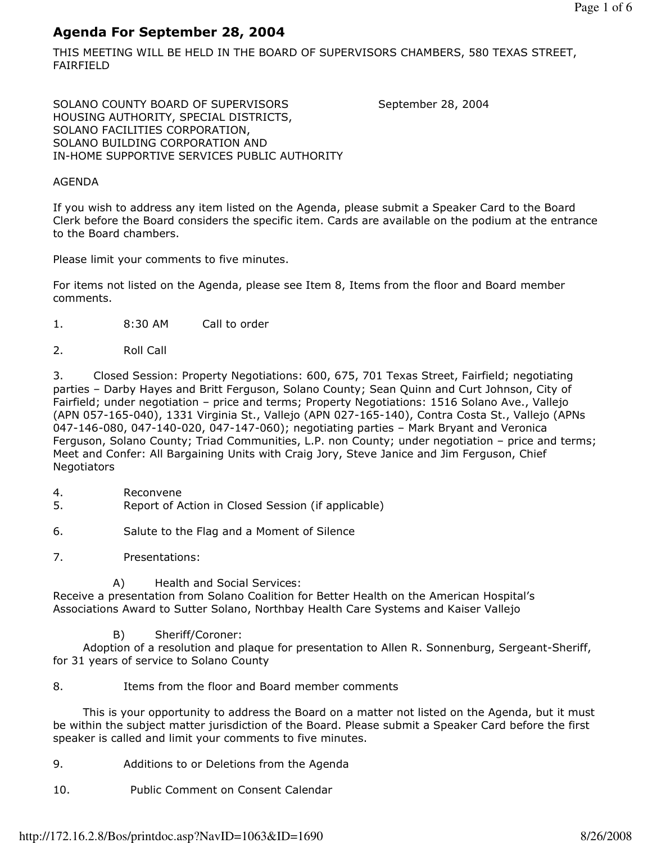# Agenda For September 28, 2004

THIS MEETING WILL BE HELD IN THE BOARD OF SUPERVISORS CHAMBERS, 580 TEXAS STREET, FAIRFIELD

SOLANO COUNTY BOARD OF SUPERVISORS September 28, 2004 HOUSING AUTHORITY, SPECIAL DISTRICTS, SOLANO FACILITIES CORPORATION, SOLANO BUILDING CORPORATION AND IN-HOME SUPPORTIVE SERVICES PUBLIC AUTHORITY

# AGENDA

If you wish to address any item listed on the Agenda, please submit a Speaker Card to the Board Clerk before the Board considers the specific item. Cards are available on the podium at the entrance to the Board chambers.

Please limit your comments to five minutes.

For items not listed on the Agenda, please see Item 8, Items from the floor and Board member comments.

- 1. 8:30 AM Call to order
- 2. Roll Call

3. Closed Session: Property Negotiations: 600, 675, 701 Texas Street, Fairfield; negotiating parties – Darby Hayes and Britt Ferguson, Solano County; Sean Quinn and Curt Johnson, City of Fairfield; under negotiation – price and terms; Property Negotiations: 1516 Solano Ave., Vallejo (APN 057-165-040), 1331 Virginia St., Vallejo (APN 027-165-140), Contra Costa St., Vallejo (APNs 047-146-080, 047-140-020, 047-147-060); negotiating parties – Mark Bryant and Veronica Ferguson, Solano County; Triad Communities, L.P. non County; under negotiation – price and terms; Meet and Confer: All Bargaining Units with Craig Jory, Steve Janice and Jim Ferguson, Chief **Negotiators** 

- 4. Reconvene
- 5. Report of Action in Closed Session (if applicable)
- 6. Salute to the Flag and a Moment of Silence
- 7. Presentations:

A) Health and Social Services:

Receive a presentation from Solano Coalition for Better Health on the American Hospital's Associations Award to Sutter Solano, Northbay Health Care Systems and Kaiser Vallejo

B) Sheriff/Coroner:

 Adoption of a resolution and plaque for presentation to Allen R. Sonnenburg, Sergeant-Sheriff, for 31 years of service to Solano County

8. Items from the floor and Board member comments

 This is your opportunity to address the Board on a matter not listed on the Agenda, but it must be within the subject matter jurisdiction of the Board. Please submit a Speaker Card before the first speaker is called and limit your comments to five minutes.

- 9. Additions to or Deletions from the Agenda
- 10. Public Comment on Consent Calendar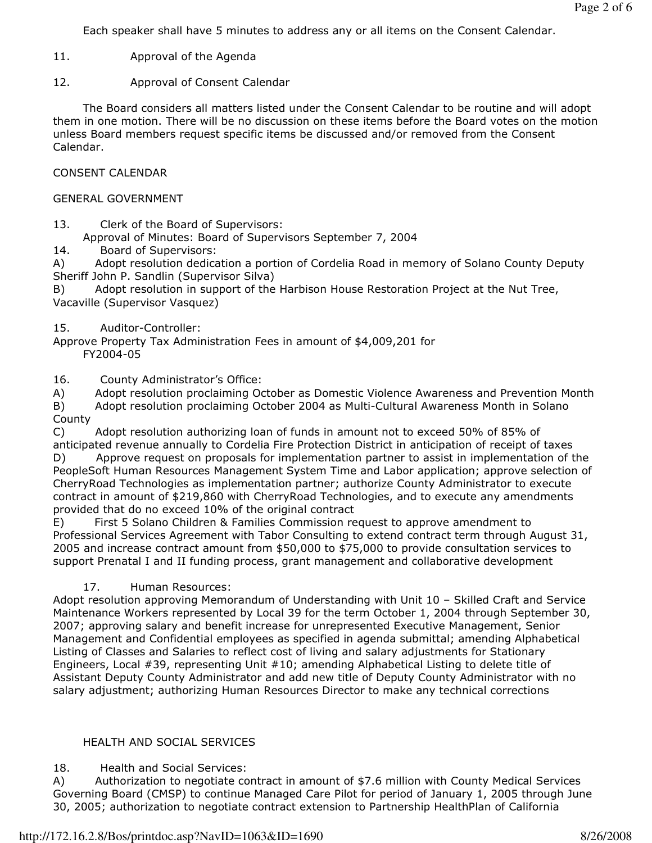Each speaker shall have 5 minutes to address any or all items on the Consent Calendar.

- 11. Approval of the Agenda
- 12. Approval of Consent Calendar

 The Board considers all matters listed under the Consent Calendar to be routine and will adopt them in one motion. There will be no discussion on these items before the Board votes on the motion unless Board members request specific items be discussed and/or removed from the Consent Calendar.

CONSENT CALENDAR

#### GENERAL GOVERNMENT

13. Clerk of the Board of Supervisors:

Approval of Minutes: Board of Supervisors September 7, 2004

14. Board of Supervisors:

A) Adopt resolution dedication a portion of Cordelia Road in memory of Solano County Deputy Sheriff John P. Sandlin (Supervisor Silva)

B) Adopt resolution in support of the Harbison House Restoration Project at the Nut Tree, Vacaville (Supervisor Vasquez)

#### 15. Auditor-Controller:

Approve Property Tax Administration Fees in amount of \$4,009,201 for FY2004-05

16. County Administrator's Office:

A) Adopt resolution proclaiming October as Domestic Violence Awareness and Prevention Month

B) Adopt resolution proclaiming October 2004 as Multi-Cultural Awareness Month in Solano County

C) Adopt resolution authorizing loan of funds in amount not to exceed 50% of 85% of anticipated revenue annually to Cordelia Fire Protection District in anticipation of receipt of taxes

D) Approve request on proposals for implementation partner to assist in implementation of the PeopleSoft Human Resources Management System Time and Labor application; approve selection of CherryRoad Technologies as implementation partner; authorize County Administrator to execute contract in amount of \$219,860 with CherryRoad Technologies, and to execute any amendments provided that do no exceed 10% of the original contract

E) First 5 Solano Children & Families Commission request to approve amendment to Professional Services Agreement with Tabor Consulting to extend contract term through August 31, 2005 and increase contract amount from \$50,000 to \$75,000 to provide consultation services to support Prenatal I and II funding process, grant management and collaborative development

# 17. Human Resources:

Adopt resolution approving Memorandum of Understanding with Unit 10 – Skilled Craft and Service Maintenance Workers represented by Local 39 for the term October 1, 2004 through September 30, 2007; approving salary and benefit increase for unrepresented Executive Management, Senior Management and Confidential employees as specified in agenda submittal; amending Alphabetical Listing of Classes and Salaries to reflect cost of living and salary adjustments for Stationary Engineers, Local #39, representing Unit #10; amending Alphabetical Listing to delete title of Assistant Deputy County Administrator and add new title of Deputy County Administrator with no salary adjustment; authorizing Human Resources Director to make any technical corrections

# HEALTH AND SOCIAL SERVICES

# 18. Health and Social Services:

A) Authorization to negotiate contract in amount of \$7.6 million with County Medical Services Governing Board (CMSP) to continue Managed Care Pilot for period of January 1, 2005 through June 30, 2005; authorization to negotiate contract extension to Partnership HealthPlan of California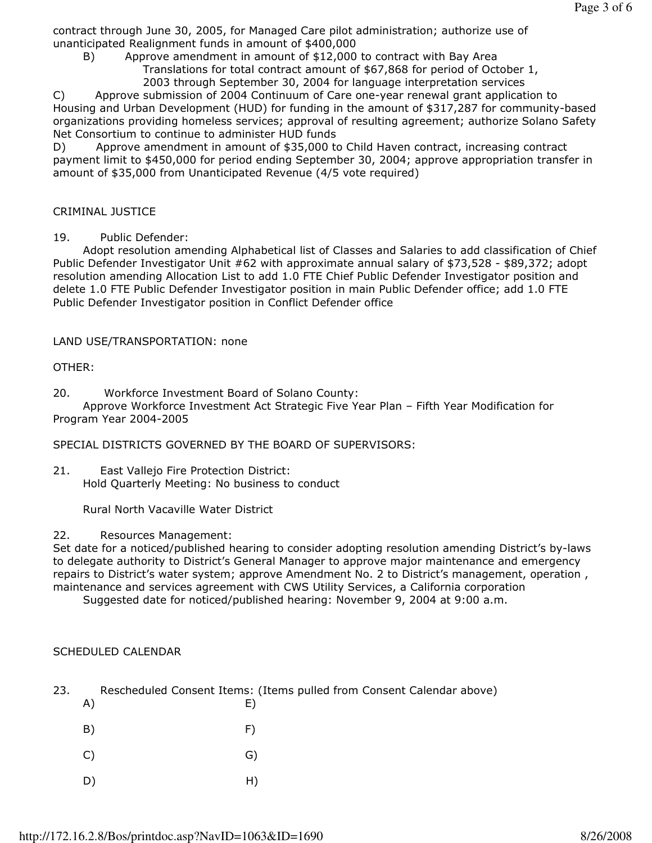contract through June 30, 2005, for Managed Care pilot administration; authorize use of unanticipated Realignment funds in amount of \$400,000

 B) Approve amendment in amount of \$12,000 to contract with Bay Area Translations for total contract amount of \$67,868 for period of October 1, 2003 through September 30, 2004 for language interpretation services

C) Approve submission of 2004 Continuum of Care one-year renewal grant application to Housing and Urban Development (HUD) for funding in the amount of \$317,287 for community-based organizations providing homeless services; approval of resulting agreement; authorize Solano Safety Net Consortium to continue to administer HUD funds

D) Approve amendment in amount of \$35,000 to Child Haven contract, increasing contract payment limit to \$450,000 for period ending September 30, 2004; approve appropriation transfer in amount of \$35,000 from Unanticipated Revenue (4/5 vote required)

#### CRIMINAL JUSTICE

#### 19. Public Defender:

 Adopt resolution amending Alphabetical list of Classes and Salaries to add classification of Chief Public Defender Investigator Unit #62 with approximate annual salary of \$73,528 - \$89,372; adopt resolution amending Allocation List to add 1.0 FTE Chief Public Defender Investigator position and delete 1.0 FTE Public Defender Investigator position in main Public Defender office; add 1.0 FTE Public Defender Investigator position in Conflict Defender office

LAND USE/TRANSPORTATION: none

OTHER:

20. Workforce Investment Board of Solano County:

 Approve Workforce Investment Act Strategic Five Year Plan – Fifth Year Modification for Program Year 2004-2005

SPECIAL DISTRICTS GOVERNED BY THE BOARD OF SUPERVISORS:

21. East Vallejo Fire Protection District: Hold Quarterly Meeting: No business to conduct

Rural North Vacaville Water District

#### 22. Resources Management:

Set date for a noticed/published hearing to consider adopting resolution amending District's by-laws to delegate authority to District's General Manager to approve major maintenance and emergency repairs to District's water system; approve Amendment No. 2 to District's management, operation , maintenance and services agreement with CWS Utility Services, a California corporation

Suggested date for noticed/published hearing: November 9, 2004 at 9:00 a.m.

# SCHEDULED CALENDAR

- 23. Rescheduled Consent Items: (Items pulled from Consent Calendar above) A) E)
- B) F) C) G) D) H)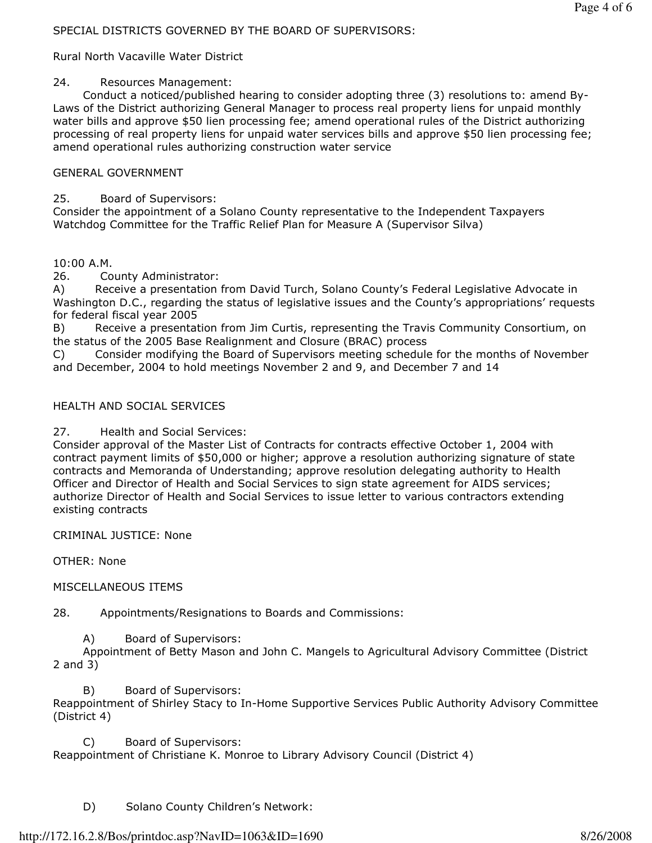# SPECIAL DISTRICTS GOVERNED BY THE BOARD OF SUPERVISORS:

Rural North Vacaville Water District

# 24. Resources Management:

 Conduct a noticed/published hearing to consider adopting three (3) resolutions to: amend By-Laws of the District authorizing General Manager to process real property liens for unpaid monthly water bills and approve \$50 lien processing fee; amend operational rules of the District authorizing processing of real property liens for unpaid water services bills and approve \$50 lien processing fee; amend operational rules authorizing construction water service

# GENERAL GOVERNMENT

25. Board of Supervisors:

Consider the appointment of a Solano County representative to the Independent Taxpayers Watchdog Committee for the Traffic Relief Plan for Measure A (Supervisor Silva)

10:00 A.M.

26. County Administrator:

A) Receive a presentation from David Turch, Solano County's Federal Legislative Advocate in Washington D.C., regarding the status of legislative issues and the County's appropriations' requests for federal fiscal year 2005

B) Receive a presentation from Jim Curtis, representing the Travis Community Consortium, on the status of the 2005 Base Realignment and Closure (BRAC) process

C) Consider modifying the Board of Supervisors meeting schedule for the months of November and December, 2004 to hold meetings November 2 and 9, and December 7 and 14

# HEALTH AND SOCIAL SERVICES

27. Health and Social Services:

Consider approval of the Master List of Contracts for contracts effective October 1, 2004 with contract payment limits of \$50,000 or higher; approve a resolution authorizing signature of state contracts and Memoranda of Understanding; approve resolution delegating authority to Health Officer and Director of Health and Social Services to sign state agreement for AIDS services; authorize Director of Health and Social Services to issue letter to various contractors extending existing contracts

CRIMINAL JUSTICE: None

OTHER: None

MISCELLANEOUS ITEMS

28. Appointments/Resignations to Boards and Commissions:

A) Board of Supervisors:

 Appointment of Betty Mason and John C. Mangels to Agricultural Advisory Committee (District 2 and 3)

 B) Board of Supervisors: Reappointment of Shirley Stacy to In-Home Supportive Services Public Authority Advisory Committee (District 4)

 C) Board of Supervisors: Reappointment of Christiane K. Monroe to Library Advisory Council (District 4)

D) Solano County Children's Network: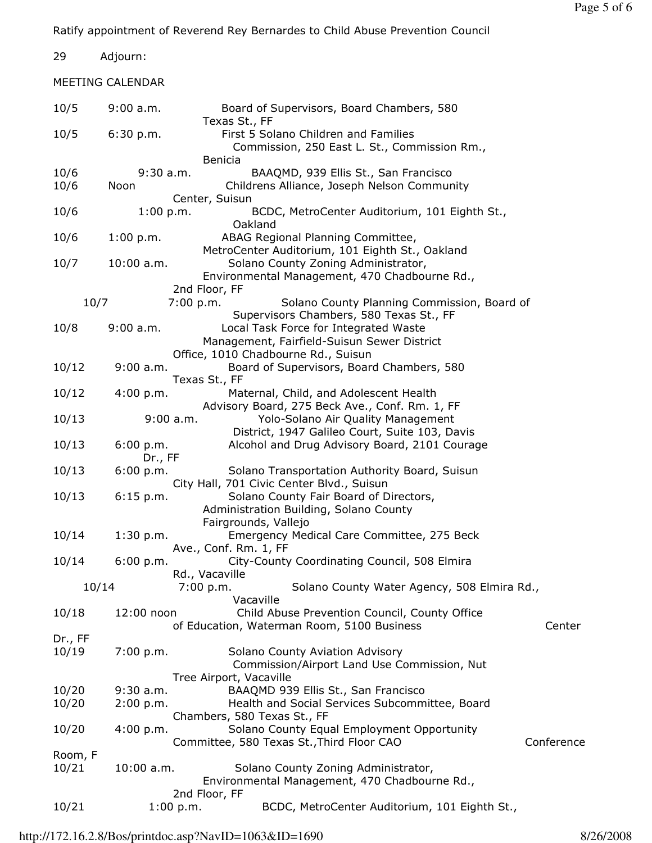Ratify appointment of Reverend Rey Bernardes to Child Abuse Prevention Council

29 Adjourn:

MEETING CALENDAR

| 10/5    | 9:00 a.m.    | Board of Supervisors, Board Chambers, 580<br>Texas St., FF                           |            |  |  |
|---------|--------------|--------------------------------------------------------------------------------------|------------|--|--|
| 10/5    | 6:30 p.m.    | First 5 Solano Children and Families<br>Commission, 250 East L. St., Commission Rm., |            |  |  |
|         |              | <b>Benicia</b>                                                                       |            |  |  |
| 10/6    | $9:30$ a.m.  | BAAQMD, 939 Ellis St., San Francisco                                                 |            |  |  |
| 10/6    | Noon         | Childrens Alliance, Joseph Nelson Community                                          |            |  |  |
|         |              | Center, Suisun                                                                       |            |  |  |
| 10/6    | 1:00 p.m.    | BCDC, MetroCenter Auditorium, 101 Eighth St.,                                        |            |  |  |
|         |              | Oakland<br>ABAG Regional Planning Committee,                                         |            |  |  |
| 10/6    | 1:00 p.m.    | MetroCenter Auditorium, 101 Eighth St., Oakland                                      |            |  |  |
| 10/7    | $10:00$ a.m. | Solano County Zoning Administrator,                                                  |            |  |  |
|         |              | Environmental Management, 470 Chadbourne Rd.,                                        |            |  |  |
|         |              | 2nd Floor, FF                                                                        |            |  |  |
| 10/7    |              | 7:00 p.m.<br>Solano County Planning Commission, Board of                             |            |  |  |
|         |              | Supervisors Chambers, 580 Texas St., FF                                              |            |  |  |
| 10/8    | $9:00$ a.m.  | Local Task Force for Integrated Waste                                                |            |  |  |
|         |              | Management, Fairfield-Suisun Sewer District                                          |            |  |  |
|         |              | Office, 1010 Chadbourne Rd., Suisun                                                  |            |  |  |
| 10/12   | $9:00$ a.m.  | Board of Supervisors, Board Chambers, 580                                            |            |  |  |
|         |              | Texas St., FF                                                                        |            |  |  |
| 10/12   | 4:00 p.m.    | Maternal, Child, and Adolescent Health                                               |            |  |  |
|         |              | Advisory Board, 275 Beck Ave., Conf. Rm. 1, FF                                       |            |  |  |
| 10/13   |              | $9:00$ a.m.<br>Yolo-Solano Air Quality Management                                    |            |  |  |
|         |              | District, 1947 Galileo Court, Suite 103, Davis                                       |            |  |  |
| 10/13   | 6:00 p.m.    | Alcohol and Drug Advisory Board, 2101 Courage                                        |            |  |  |
|         | Dr., FF      |                                                                                      |            |  |  |
| 10/13   | 6:00 p.m.    | Solano Transportation Authority Board, Suisun                                        |            |  |  |
|         |              | City Hall, 701 Civic Center Blvd., Suisun                                            |            |  |  |
| 10/13   | 6:15 p.m.    | Solano County Fair Board of Directors,                                               |            |  |  |
|         |              | Administration Building, Solano County                                               |            |  |  |
|         |              | Fairgrounds, Vallejo                                                                 |            |  |  |
| 10/14   | 1:30 p.m.    | Emergency Medical Care Committee, 275 Beck                                           |            |  |  |
|         |              | Ave., Conf. Rm. 1, FF                                                                |            |  |  |
| 10/14   | 6:00 p.m.    | City-County Coordinating Council, 508 Elmira<br>Rd., Vacaville                       |            |  |  |
| 10/14   |              | 7:00 p.m.<br>Solano County Water Agency, 508 Elmira Rd.,                             |            |  |  |
|         |              | Vacaville                                                                            |            |  |  |
| 10/18   | 12:00 noon   | Child Abuse Prevention Council, County Office                                        |            |  |  |
|         |              | of Education, Waterman Room, 5100 Business                                           | Center     |  |  |
| Dr., FF |              |                                                                                      |            |  |  |
| 10/19   | 7:00 p.m.    | Solano County Aviation Advisory                                                      |            |  |  |
|         |              | Commission/Airport Land Use Commission, Nut                                          |            |  |  |
|         |              | Tree Airport, Vacaville                                                              |            |  |  |
| 10/20   | $9:30$ a.m.  | BAAQMD 939 Ellis St., San Francisco                                                  |            |  |  |
| 10/20   | 2:00 p.m.    | Health and Social Services Subcommittee, Board                                       |            |  |  |
|         |              | Chambers, 580 Texas St., FF                                                          |            |  |  |
| 10/20   | 4:00 p.m.    | Solano County Equal Employment Opportunity                                           |            |  |  |
|         |              | Committee, 580 Texas St., Third Floor CAO                                            | Conference |  |  |
| Room, F |              |                                                                                      |            |  |  |
| 10/21   | 10:00 a.m.   | Solano County Zoning Administrator,                                                  |            |  |  |
|         |              | Environmental Management, 470 Chadbourne Rd.,                                        |            |  |  |
|         |              | 2nd Floor, FF                                                                        |            |  |  |
| 10/21   |              | BCDC, MetroCenter Auditorium, 101 Eighth St.,<br>1:00 p.m.                           |            |  |  |